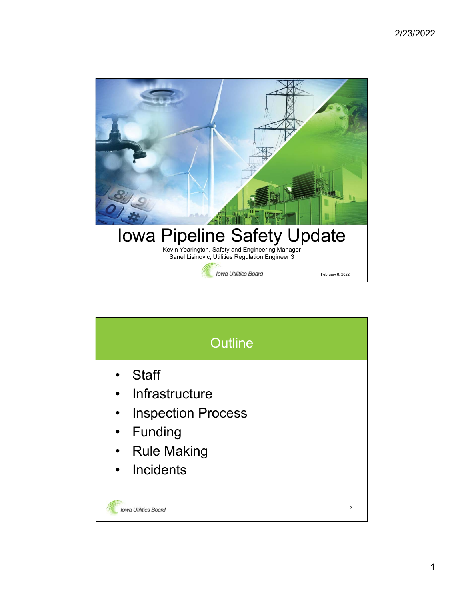#### 2/23/2022



| <b>Outline</b>                                                                                                                                  |                |
|-------------------------------------------------------------------------------------------------------------------------------------------------|----------------|
| <b>Staff</b><br>$\bullet$<br>Infrastructure<br>$\bullet$<br><b>Inspection Process</b><br>$\bullet$<br>• Funding<br>• Rule Making<br>• Incidents |                |
| <b>Iowa Utilities Board</b>                                                                                                                     | $\mathfrak{p}$ |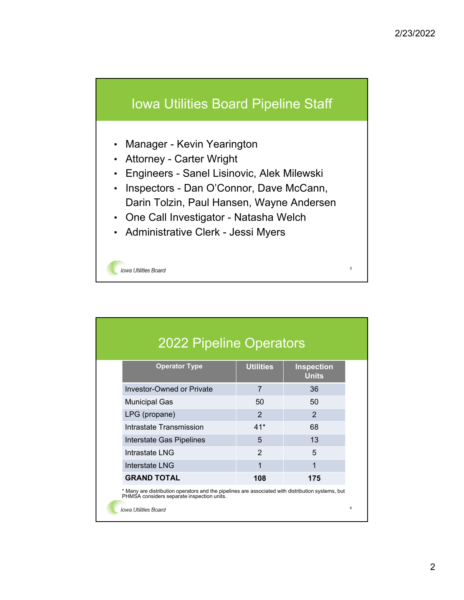### Iowa Utilities Board Pipeline Staff

- Manager Kevin Yearington
- Attorney Carter Wright
- Engineers Sanel Lisinovic, Alek Milewski
- Inspectors Dan O'Connor, Dave McCann, Darin Tolzin, Paul Hansen, Wayne Andersen
- One Call Investigator Natasha Welch
- Administrative Clerk Jessi Myers

| <b>Operator Type</b>             | <b>Utilities</b> | <b>Inspection</b><br><b>Units</b> |
|----------------------------------|------------------|-----------------------------------|
| <b>Investor-Owned or Private</b> | $\overline{7}$   | 36                                |
| <b>Municipal Gas</b>             | 50               | 50                                |
| LPG (propane)                    | $\overline{2}$   | $\mathcal{P}$                     |
| Intrastate Transmission          | $41*$            | 68                                |
| Interstate Gas Pipelines         | 5                | 13                                |
| Intrastate LNG                   | $\mathcal{P}$    | 5                                 |
| Interstate LNG                   | 1                | 1                                 |
| <b>GRAND TOTAL</b>               | 108              | 175                               |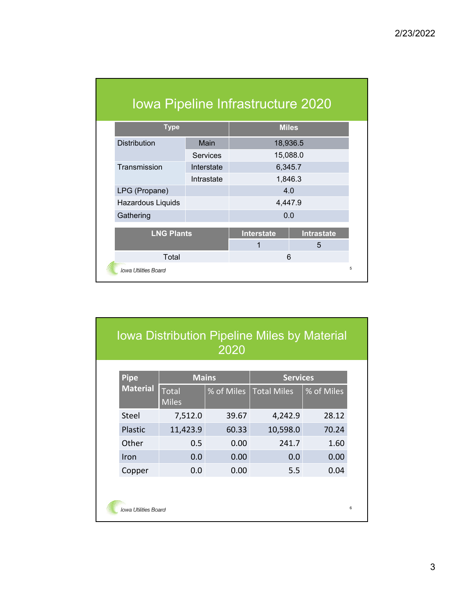|                             |                 | <b>Iowa Pipeline Infrastructure 2020</b> |                   |
|-----------------------------|-----------------|------------------------------------------|-------------------|
| <b>Type</b>                 |                 | <b>Miles</b>                             |                   |
| <b>Distribution</b>         | Main            | 18,936.5                                 |                   |
|                             | <b>Services</b> |                                          | 15,088.0          |
| Transmission                | Interstate      | 6,345.7                                  |                   |
|                             | Intrastate      | 1,846.3                                  |                   |
| LPG (Propane)               |                 | 4.0                                      |                   |
| <b>Hazardous Liquids</b>    |                 | 4,447.9                                  |                   |
| Gathering                   |                 | 0.0                                      |                   |
| <b>LNG Plants</b>           |                 | <b>Interstate</b>                        | <b>Intrastate</b> |
|                             |                 |                                          | 5                 |
| Total                       |                 | 6                                        |                   |
| <b>Iowa Utilities Board</b> |                 |                                          |                   |

#### Iowa Distribution Pipeline Miles by Material 2020

| <b>Pipe</b>                 | <b>Mains</b>                 |            | <b>Services</b>    |            |
|-----------------------------|------------------------------|------------|--------------------|------------|
| <b>Material</b>             | <b>Total</b><br><b>Miles</b> | % of Miles | <b>Total Miles</b> | % of Miles |
| Steel                       | 7,512.0                      | 39.67      | 4,242.9            | 28.12      |
| Plastic                     | 11,423.9                     | 60.33      | 10,598.0           | 70.24      |
| Other                       | 0.5                          | 0.00       | 241.7              | 1.60       |
| Iron                        | 0.0                          | 0.00       | 0.0                | 0.00       |
| Copper                      | 0.0                          | 0.00       | 5.5                | 0.04       |
|                             |                              |            |                    |            |
| <b>Iowa Utilities Board</b> |                              |            |                    |            |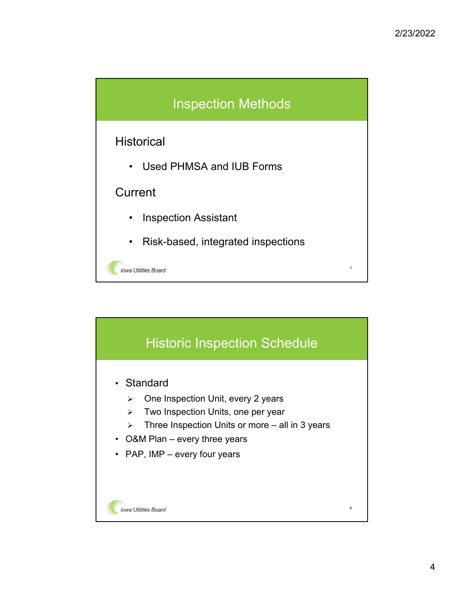

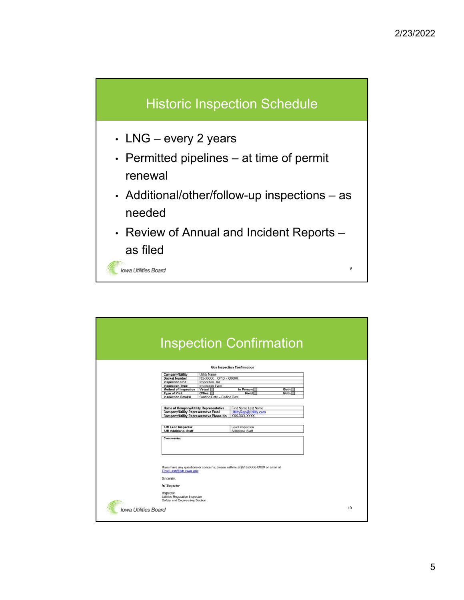

|                                                                                       |                             | <b>Inspection Confirmation</b>                                                      |      |  |
|---------------------------------------------------------------------------------------|-----------------------------|-------------------------------------------------------------------------------------|------|--|
|                                                                                       |                             |                                                                                     |      |  |
|                                                                                       |                             | <b>Gas Inspection Confirmation</b>                                                  |      |  |
| Company/Utility                                                                       | Utility Name                |                                                                                     |      |  |
| <b>Docket Number</b>                                                                  | RG-XXXX OPID - XXXXX        |                                                                                     |      |  |
| <b>Inspection Unit</b>                                                                | Inspection Unit             |                                                                                     |      |  |
| <b>Inspection Type</b><br><b>Method of Inspection</b>                                 | Inspection Type<br>Virtual  | In Person                                                                           | Both |  |
| <b>Type of Visit</b>                                                                  | Office <b>III</b>           | Field                                                                               | Both |  |
| <b>Inspection Date(s)</b>                                                             | Starting Date - Ending Date |                                                                                     |      |  |
| Name of Company/Utility Representative<br><b>Company/Utility Representative Email</b> |                             | First Name Last Name<br>UtilityRep@Utility.com                                      |      |  |
| Company/Utility Representative Phone No.                                              |                             | XXX-XXX-XXXX                                                                        |      |  |
| <b>IUB Lead Inspector</b>                                                             |                             | Lead Inspection                                                                     |      |  |
| <b>IUB Additional Staff</b>                                                           |                             | Additional Staff                                                                    |      |  |
|                                                                                       |                             |                                                                                     |      |  |
| Comments:                                                                             |                             |                                                                                     |      |  |
|                                                                                       |                             |                                                                                     |      |  |
|                                                                                       |                             |                                                                                     |      |  |
| First Last@iub.iowa.gov.                                                              |                             | If you have any questions or concerns, please call me at (515) XXX-XXXX or email at |      |  |
| Sincerely,                                                                            |                             |                                                                                     |      |  |
| Isl Imspector                                                                         |                             |                                                                                     |      |  |
| Inspector<br>Utilities Regulation Inspector<br>Safety and Engineering Section         |                             |                                                                                     |      |  |
|                                                                                       |                             |                                                                                     |      |  |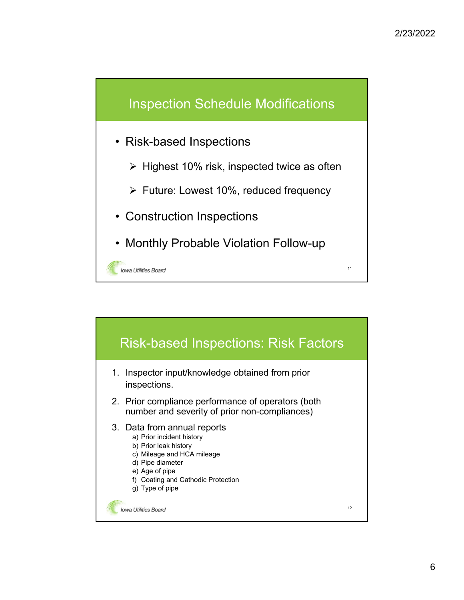### Inspection Schedule Modifications

- Risk-based Inspections
	- $\triangleright$  Highest 10% risk, inspected twice as often
	- $\triangleright$  Future: Lowest 10%, reduced frequency
- Construction Inspections
- Monthly Probable Violation Follow-up

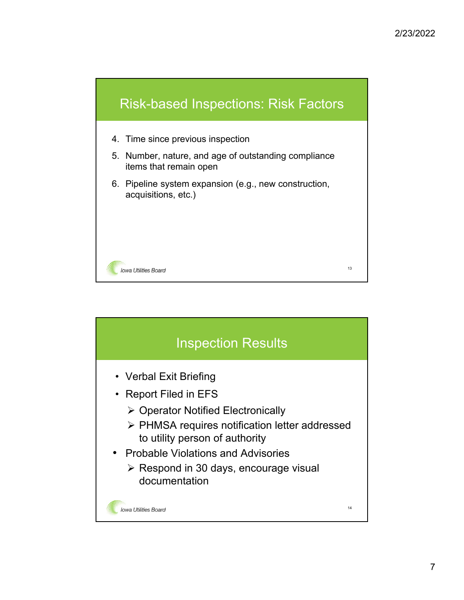

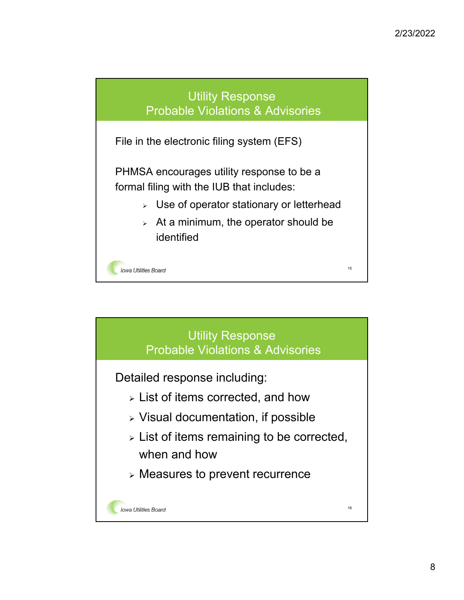

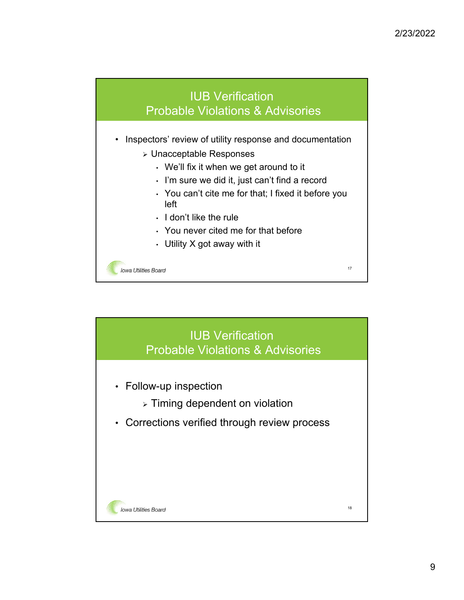

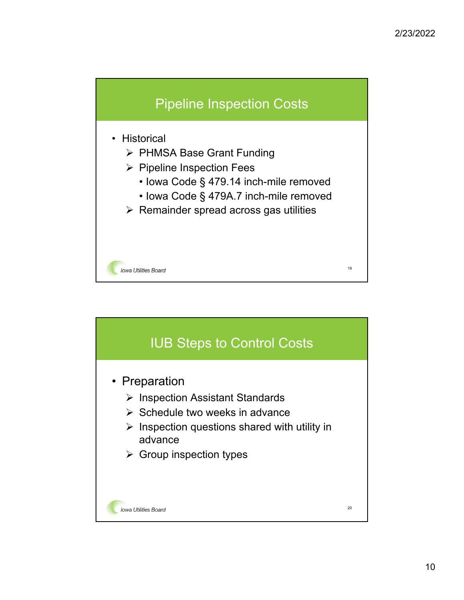

- ▶ PHMSA Base Grant Funding
- $\triangleright$  Pipeline Inspection Fees
	- Iowa Code § 479.14 inch-mile removed
	- Iowa Code § 479A.7 inch-mile removed
- $\triangleright$  Remainder spread across gas utilities



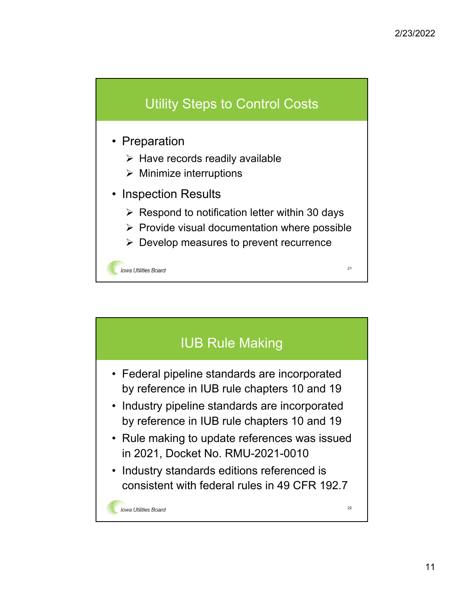

- Preparation
	- $\triangleright$  Have records readily available
	- $\triangleright$  Minimize interruptions
- Inspection Results
	- $\triangleright$  Respond to notification letter within 30 days
	- $\triangleright$  Provide visual documentation where possible
	- $\triangleright$  Develop measures to prevent recurrence

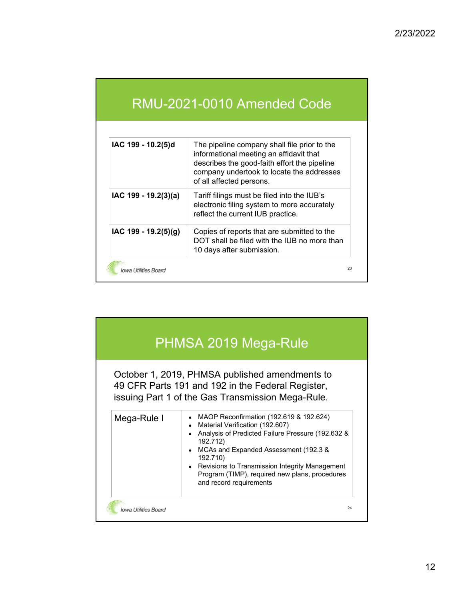|  | RMU-2021-0010 Amended Code |  |
|--|----------------------------|--|
|  |                            |  |

| IAC 199 - 10.2(5)d   | The pipeline company shall file prior to the<br>informational meeting an affidavit that<br>describes the good-faith effort the pipeline<br>company undertook to locate the addresses<br>of all affected persons. |
|----------------------|------------------------------------------------------------------------------------------------------------------------------------------------------------------------------------------------------------------|
| IAC 199 - 19.2(3)(a) | Tariff filings must be filed into the IUB's<br>electronic filing system to more accurately<br>reflect the current IUB practice.                                                                                  |
| IAC 199 - 19.2(5)(g) | Copies of reports that are submitted to the<br>DOT shall be filed with the IUB no more than<br>10 days after submission.                                                                                         |

|             | PHMSA 2019 Mega-Rule                                                                                                                                                                                                                                                                                                            |
|-------------|---------------------------------------------------------------------------------------------------------------------------------------------------------------------------------------------------------------------------------------------------------------------------------------------------------------------------------|
|             | October 1, 2019, PHMSA published amendments to<br>49 CFR Parts 191 and 192 in the Federal Register,<br>issuing Part 1 of the Gas Transmission Mega-Rule.                                                                                                                                                                        |
| Mega-Rule I | MAOP Reconfirmation (192.619 & 192.624)<br>Material Verification (192.607)<br>Analysis of Predicted Failure Pressure (192.632 &<br>192.712)<br>MCAs and Expanded Assessment (192.3 &<br>192.710)<br>Revisions to Transmission Integrity Management<br>Program (TIMP), required new plans, procedures<br>and record requirements |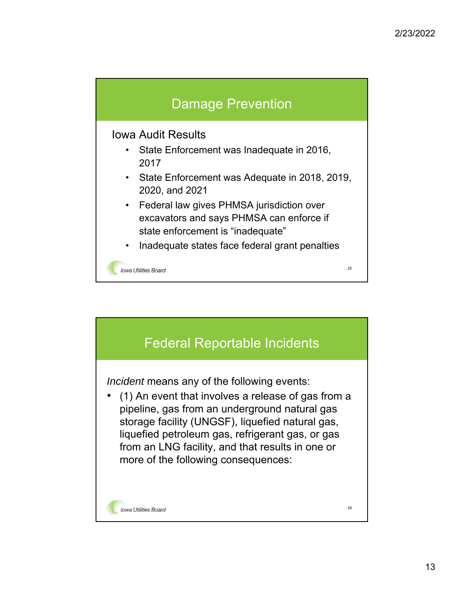

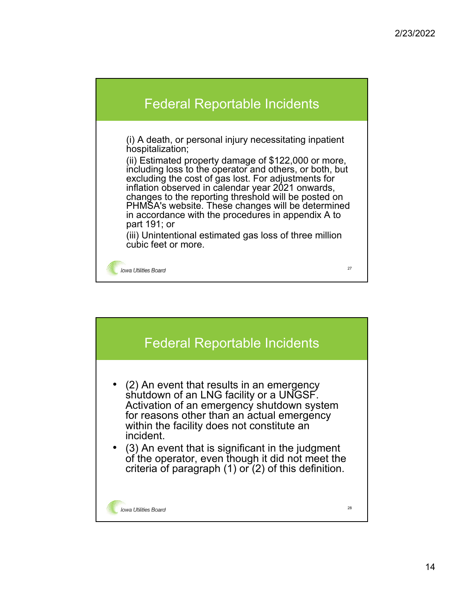## Federal Reportable Incidents

(i) A death, or personal injury necessitating inpatient hospitalization;

(ii) Estimated property damage of \$122,000 or more, including loss to the operator and others, or both, but excluding the cost of gas lost. For adjustments for inflation observed in calendar year 2021 onwards, changes to the reporting threshold will be posted on PHMSA's website. These changes will be determined in accordance with the procedures in appendix A to part 191; or

(iii) Unintentional estimated gas loss of three million cubic feet or more.



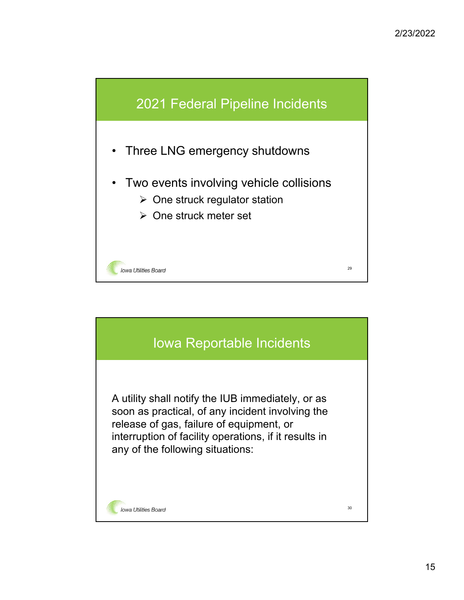

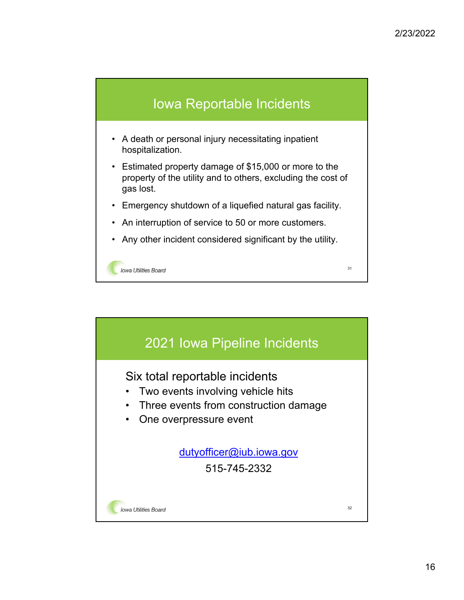# Iowa Reportable Incidents

- A death or personal injury necessitating inpatient hospitalization.
- Estimated property damage of \$15,000 or more to the property of the utility and to others, excluding the cost of gas lost.
- Emergency shutdown of a liquefied natural gas facility.
- An interruption of service to 50 or more customers.
- Any other incident considered significant by the utility.

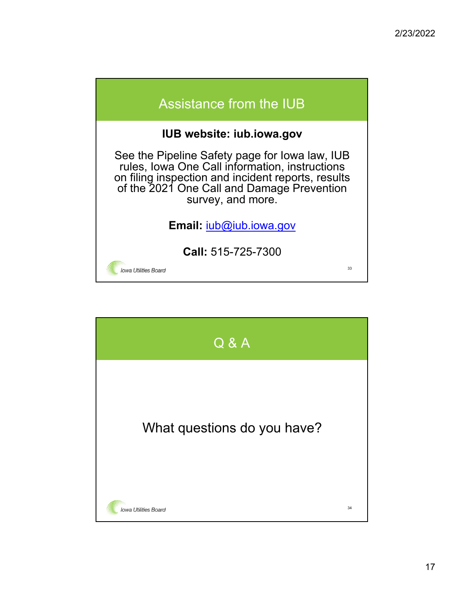